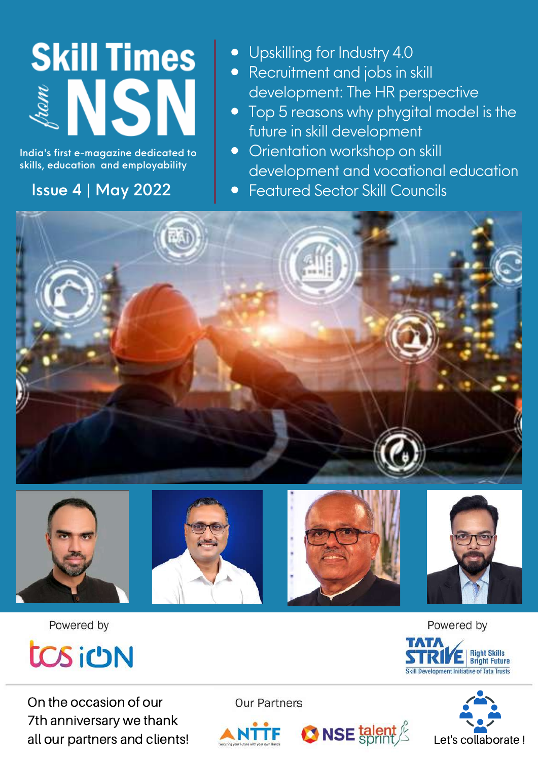# **Skill Times** & NSN

India's first e-magazine dedicated to skills, education and employability

## Issue 4 | May 2022

**•** Upskilling for Industry 4.0

- Recruitment and jobs in skill development: The HR perspective
- Top 5 reasons why phygital model is the future in skill development
- **•** Orientation workshop on skill development and vocational education
- **Featured Sector Skill Councils**









 $\bigcirc$  NSE talent  $\frac{\ell}{\ell}$ 



Powered by



On the occasion of our 7th anniversary we thank all our partners and clients!

**Our Partners** 







Let's collaborate !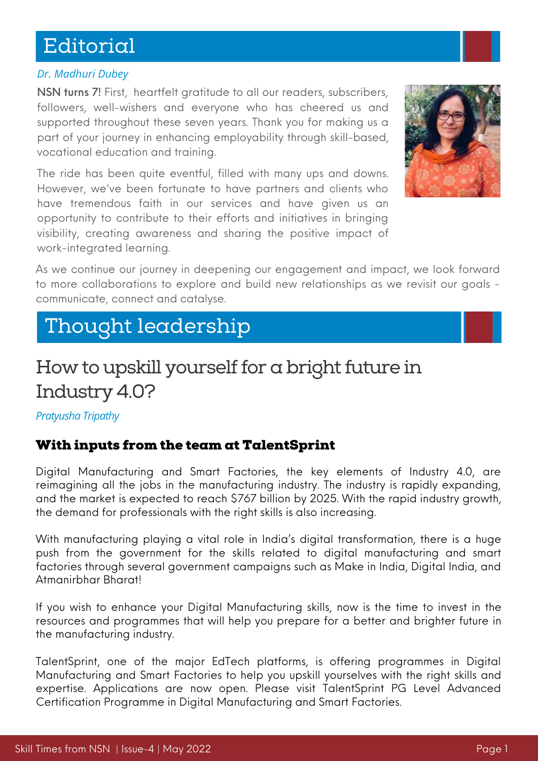# Editorial

### *Dr. Madhuri Dubey*

NSN turns 7! First, heartfelt gratitude to all our readers, subscribers, followers, well-wishers and everyone who has cheered us and supported throughout these seven years. Thank you for making us a part of your journey in enhancing employability through skill-based, vocational education and training.

The ride has been quite eventful, filled with many ups and downs. However, we've been fortunate to have partners and clients who have tremendous faith in our services and have given us an opportunity to contribute to their efforts and initiatives in bringing visibility, creating awareness and sharing the positive impact of work-integrated learning.



As we continue our journey in deepening our engagement and impact, we look forward to more collaborations to explore and build new relationships as we revisit our goals communicate, connect and catalyse.

# Thought leadership

# How to upskill yourself for a bright future in Industry 4.0?

*Pratyusha Tripathy*

### With inputs from the team at TalentSprint

Digital Manufacturing and Smart Factories, the key elements of Industry 4.0, are reimagining all the jobs in the manufacturing industry. The industry is rapidly expanding, and the market is expected to reach \$767 billion by 2025. With the rapid industry growth, the demand for professionals with the right skills is also increasing.

With manufacturing playing a vital role in India's digital transformation, there is a huge push from the government for the skills related to digital manufacturing and smart factories through several government campaigns such as Make in India, Digital India, and Atmanirbhar Bharat!

If you wish to enhance your Digital Manufacturing skills, now is the time to invest in the resources and programmes that will help you prepare for a better and brighter future in the manufacturing industry.

TalentSprint, one of the major EdTech platforms, is offering programmes in Digital Manufacturing and Smart Factories to help you upskill yourselves with the right skills and expertise. Applications are now open. Please visit TalentSprint PG Level Advanced Certification Programme in Digital Manufacturing and Smart Factories.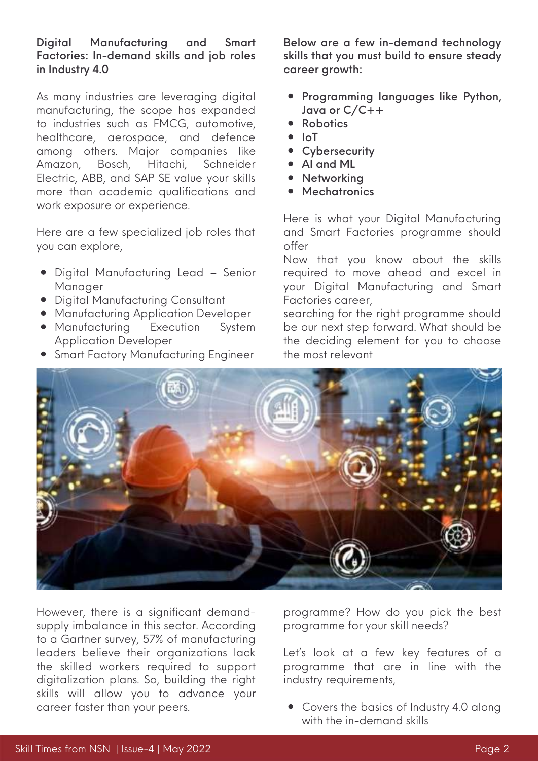#### Digital Manufacturing and Smart Factories: In-demand skills and job roles in Industry 4.0

As many industries are leveraging digital manufacturing, the scope has expanded to industries such as FMCG, automotive, healthcare, aerospace, and defence among others. Major companies like Amazon, Bosch, Hitachi, Schneider Electric, ABB, and SAP SE value your skills more than academic qualifications and work exposure or experience.

Here are a few specialized job roles that you can explore,

- Digital Manufacturing Lead Senior Manager
- Digital Manufacturing Consultant
- **Manufacturing Application Developer**
- Manufacturing Execution System Application Developer
- **Smart Factory Manufacturing Engineer**

Below are a few in-demand technology skills that you must build to ensure steady career growth:

- **•** Programming languages like Python, Java or C/C++
- Robotics
- $\bullet$  IoT
- Cybersecurity
- AI and ML
- Networking
- Mechatronics

Here is what your Digital Manufacturing and Smart Factories programme should offer

Now that you know about the skills required to move ahead and excel in your Digital Manufacturing and Smart Factories career,

searching for the right programme should be our next step forward. What should be the deciding element for you to choose the most relevant



However, there is a significant demandsupply imbalance in this sector. According to a [Gartner](https://www.gartner.com/en/newsroom/press-releases/2021-05-11-gartner-survey-shows-57-percent-of-manufacturing-leaders-feel-their-organization-lacks-skilled-workers-to-support-smart-manufacturing-digitization-plans) survey, 57% of manufacturing leaders believe their organizations lack the skilled workers required to support digitalization plans. So, building the right skills will allow you to advance your career faster than your peers.

programme? How do you pick the best programme for your skill needs?

Let's look at a few key features of a programme that are in line with the industry requirements,

• Covers the basics of Industry 4.0 along with the in-demand skills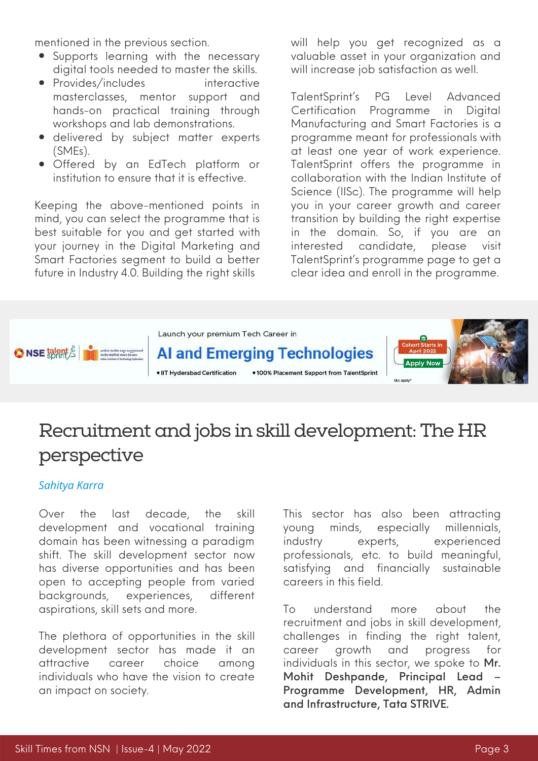mentioned in the previous section.

- Supports learning with the necessary digital tools needed to master the skills.
- Provides/includes interactive masterclasses, mentor support and hands-on practical training through workshops and lab demonstrations.
- delivered by subject matter experts (SMEs).
- Offered by an EdTech platform or institution to ensure that it is effective.

Keeping the above-mentioned points in mind, you can select the programme that is best suitable for you and get started with your journey in the Digital Marketing and Smart Factories segment to build a better future in Industry 4.0. Building the right skills

will help you get recognized as a valuable asset in your organization and will increase job satisfaction as well.

TalentSprint's PG Level Advanced Certification Programme in Digital Manufacturing and Smart Factories is a programme meant for professionals with at least one year of work experience. TalentSprint offers the programme in collaboration with the Indian Institute of Science (IISc). The programme will help you in your career growth and career transition by building the right expertise in the domain. So, if you are an interested candidate, please visit [TalentSprint's](https://iisc.talentsprint.com/dmsf/index.html#faculty) programme page to get a clear idea and enroll in the programme.



# Recruitment and jobs in skill development: The HR perspective

#### *Sahitya Karra*

Over the last decade, the skill development and vocational training domain has been witnessing a paradigm shift. The skill development sector now has diverse opportunities and has been open to accepting people from varied backgrounds, experiences, different aspirations, skill sets and more.

The plethora of opportunities in the skill development sector has made it an attractive career choice among individuals who have the vision to create an impact on society.

This sector has also been attracting young minds, especially millennials, industry experts, experienced professionals, etc. to build meaningful, satisfying and financially sustainable careers in this field.

To understand more about the recruitment and jobs in skill development, challenges in finding the right talent, career growth and progress for individuals in this sector, we spoke to Mr. Mohit Deshpande, Principal Lead – Programme Development, HR, Admin and Infrastructure, Tata STRIVE.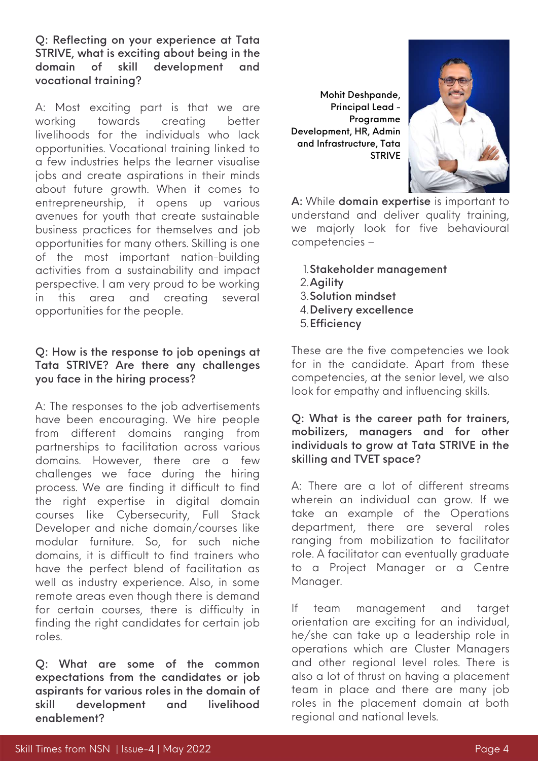Q: Reflecting on your experience at Tata STRIVE, what is exciting about being in the domain of skill development and vocational training?

A: Most exciting part is that we are working towards creating better livelihoods for the individuals who lack opportunities. Vocational training linked to a few industries helps the learner visualise jobs and create aspirations in their minds about future growth. When it comes to entrepreneurship, it opens up various avenues for youth that create sustainable business practices for themselves and job opportunities for many others. Skilling is one of the most important nation-building activities from a sustainability and impact perspective. I am very proud to be working in this area and creating several opportunities for the people.

### Q: How is the response to job openings at Tata STRIVE? Are there any challenges you face in the hiring process?

A: The responses to the job advertisements have been encouraging. We hire people from different domains ranging from partnerships to facilitation across various domains. However, there are a few challenges we face during the hiring process. We are finding it difficult to find the right expertise in digital domain courses like Cybersecurity, Full Stack Developer and niche domain/courses like modular furniture. So, for such niche domains, it is difficult to find trainers who have the perfect blend of facilitation as well as industry experience. Also, in some remote areas even though there is demand for certain courses, there is difficulty in finding the right candidates for certain job roles.

Q: What are some of the common expectations from the candidates or job aspirants for various roles in the domain of skill development and livelihood enablement?

Mohit Deshpande, Principal Lead - Programme Development, HR, Admin and Infrastructure, Tata STRIVE



A: While domain expertise is important to understand and deliver quality training, we majorly look for five behavioural competencies –

- Stakeholder management 1.
- Agility 2.
- Solution mindset 3.
- Delivery excellence 4.
- 5. Efficiency

These are the five competencies we look for in the candidate. Apart from these competencies, at the senior level, we also look for empathy and influencing skills.

### Q: What is the career path for trainers, mobilizers, managers and for other individuals to grow at Tata STRIVE in the skilling and TVET space?

A: There are a lot of different streams wherein an individual can grow. If we take an example of the Operations department, there are several roles ranging from mobilization to facilitator role. A facilitator can eventually graduate to a Project Manager or a Centre Manager.

If team management and target orientation are exciting for an individual, he/she can take up a leadership role in operations which are Cluster Managers and other regional level roles. There is also a lot of thrust on having a placement team in place and there are many job roles in the placement domain at both regional and national levels.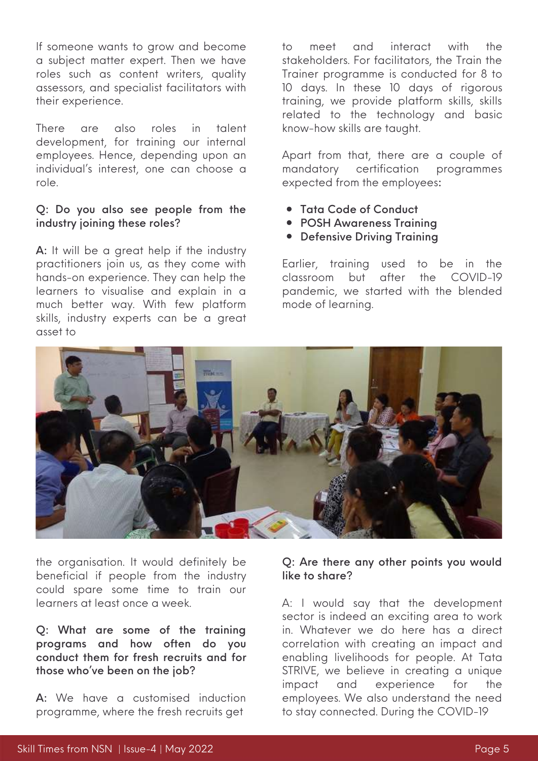If someone wants to grow and become a subject matter expert. Then we have roles such as content writers, quality assessors, and specialist facilitators with their experience.

There are also roles in talent development, for training our internal employees. Hence, depending upon an individual's interest, one can choose a role.

#### Q: Do you also see people from the industry joining these roles?

A: It will be a great help if the industry practitioners join us, as they come with hands-on experience. They can help the learners to visualise and explain in a much better way. With few platform skills, industry experts can be a great asset to

to meet and interact with the stakeholders. For facilitators, the Train the Trainer programme is conducted for 8 to 10 days. In these 10 days of rigorous training, we provide platform skills, skills related to the technology and basic know-how skills are taught.

Apart from that, there are a couple of mandatory certification programmes expected from the employees:

- Tata Code of Conduct
- POSH Awareness Training
- **Defensive Driving Training**

Earlier, training used to be in the classroom but after the COVID-19 pandemic, we started with the blended mode of learning.



the organisation. It would definitely be beneficial if people from the industry could spare some time to train our learners at least once a week.

Q: What are some of the training programs and how often do you conduct them for fresh recruits and for those who've been on the job?

A: We have a customised induction programme, where the fresh recruits get

#### Q: Are there any other points you would like to share?

A: I would say that the development sector is indeed an exciting area to work in. Whatever we do here has a direct correlation with creating an impact and enabling livelihoods for people. At Tata STRIVE, we believe in creating a unique impact and experience for the employees. We also understand the need to stay connected. During the COVID-19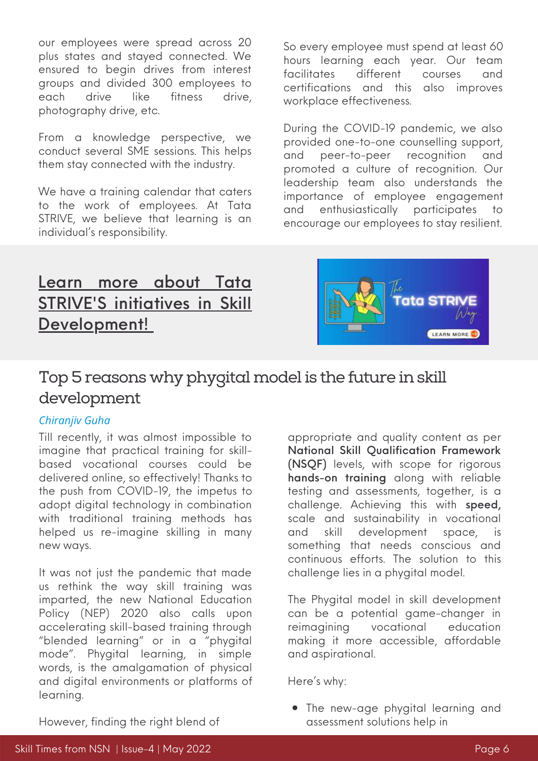our employees were spread across 20 plus states and stayed connected. We ensured to begin drives from interest groups and divided 300 employees to each drive like fitness drive, photography drive, etc.

From a knowledge perspective, we conduct several SME sessions. This helps them stay connected with the industry.

We have a training calendar that caters to the work of employees. At Tata STRIVE, we believe that learning is an individual's responsibility.

So every employee must spend at least 60 hours learning each year. Our team facilitates different courses and certifications and this also improves workplace effectiveness.

During the COVID-19 pandemic, we also provided one-to-one counselling support, and peer-to-peer recognition and promoted a culture of recognition. Our leadership team also understands the importance of employee engagement and enthusiastically participates to encourage our employees to stay resilient.

## Learn more about Tata STRIVE'S initi[a](https://www.nationalskillsnetwork.in/tata-strive/)tives in Skill [Development!](https://www.nationalskillsnetwork.in/tata-strive/)



### Top 5 reasons why phygital model is the future in skill development

### *Chiranjiv Guha*

Till recently, it was almost impossible to imagine that practical training for skillbased vocational courses could be delivered online, so effectively! Thanks to the push from COVID-19, the impetus to adopt digital technology in combination with traditional training methods has helped us re-imagine skilling in many new ways.

It was not just the pandemic that made us rethink the way skill training was imparted, the new National Education Policy (NEP) 2020 also calls upon accelerating skill-based training through "blended learning" or in a "phygital mode". Phygital learning, in simple words, is the amalgamation of physical and digital environments or platforms of learning.

appropriate and quality content as per National Skill Qualification Framework (NSQF) levels, with scope for rigorous hands-on training along with reliable testing and assessments, together, is a challenge. Achieving this with speed, scale and sustainability in vocational and skill development space, is something that needs conscious and continuous efforts. The solution to this challenge lies in a phygital model.

The Phygital model in skill development can be a potential game-changer in reimagining vocational education making it more accessible, affordable and aspirational.

Here's why:

The new-age phygital learning and assessment solutions help in

However, finding the right blend of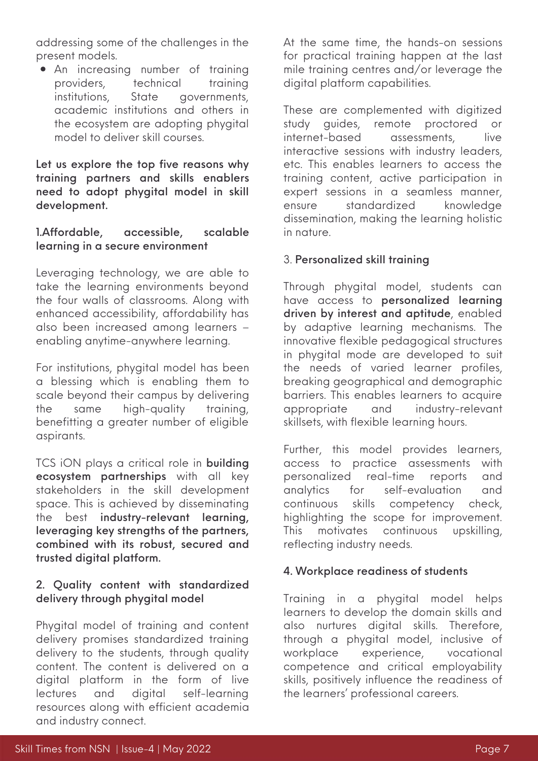addressing some of the challenges in the present models.

An increasing number of training providers, technical training institutions, State governments, academic institutions and others in the ecosystem are adopting phygital model to deliver skill courses.

Let us explore the top five reasons why training partners and skills enablers need to adopt phygital model in skill development.

### 1.Affordable, accessible, scalable learning in a secure environment

Leveraging technology, we are able to take the learning environments beyond the four walls of classrooms. Along with enhanced accessibility, affordability has also been increased among learners – enabling anytime-anywhere learning.

For institutions, phygital model has been a blessing which is enabling them to scale beyond their campus by delivering the same high-quality training, benefitting a greater number of eligible aspirants.

TCS iON plays a critical role in **building** ecosystem partnerships with all key stakeholders in the skill development space. This is achieved by disseminating the best industry-relevant learning, leveraging key strengths of the partners, combined with its robust, secured and trusted digital platform.

### 2. Quality content with standardized delivery through phygital model

Phygital model of training and content delivery promises standardized training delivery to the students, through quality content. The content is delivered on a digital platform in the form of live lectures and digital self-learning resources along with efficient academia and industry connect.

At the same time, the hands-on sessions for practical training happen at the last mile training centres and/or leverage the digital platform capabilities.

These are complemented with digitized study guides, remote proctored or internet-based assessments, live interactive sessions with industry leaders, etc. This enables learners to access the training content, active participation in expert sessions in a seamless manner, ensure standardized knowledge dissemination, making the learning holistic in nature.

### 3. Personalized skill training

Through phygital model, students can have access to personalized learning driven by interest and aptitude, enabled by adaptive learning mechanisms. The innovative flexible pedagogical structures in phygital mode are developed to suit the needs of varied learner profiles, breaking geographical and demographic barriers. This enables learners to acquire appropriate and industry-relevant skillsets, with flexible learning hours.

Further, this model provides learners, access to practice assessments with personalized real-time reports and analytics for self-evaluation and continuous skills competency check, highlighting the scope for improvement. This motivates continuous upskilling, reflecting industry needs.

#### 4. Workplace readiness of students

Training in a phygital model helps learners to develop the domain skills and also nurtures digital skills. Therefore, through a phygital model, inclusive of workplace experience, vocational competence and critical employability skills, positively influence the readiness of the learners' professional careers.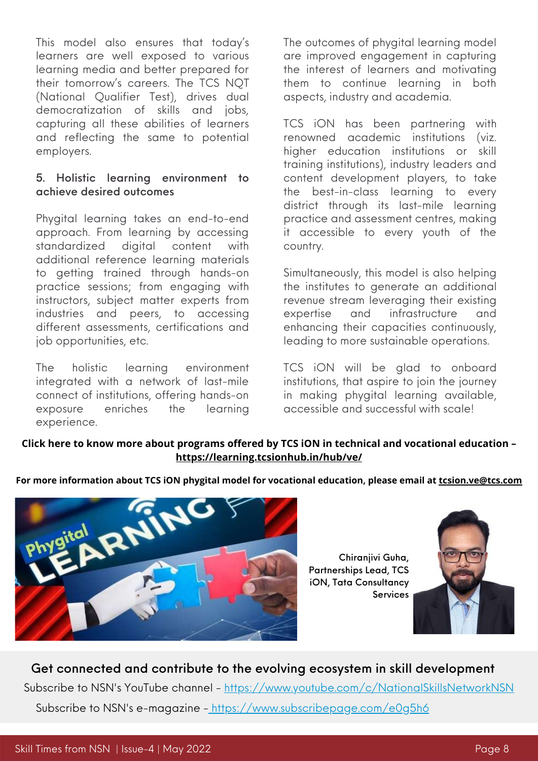This model also ensures that today's learners are well exposed to various learning media and better prepared for their tomorrow's careers. The TCS NQT (National Qualifier Test), drives dual democratization of skills and jobs, capturing all these abilities of learners and reflecting the same to potential employers.

### 5. Holistic learning environment to achieve desired outcomes

Phygital learning takes an end-to-end approach. From learning by accessing standardized digital content with additional reference learning materials to getting trained through hands-on practice sessions; from engaging with instructors, subject matter experts from industries and peers, to accessing different assessments, certifications and job opportunities, etc.

The holistic learning environment integrated with a network of last-mile connect of institutions, offering hands-on exposure enriches the learning experience.

The outcomes of phygital learning model are improved engagement in capturing the interest of learners and motivating them to continue learning in both aspects, industry and academia.

TCS iON has been partnering with renowned academic institutions (viz. higher education institutions or skill training institutions), industry leaders and content development players, to take the best-in-class learning to every district through its last-mile learning practice and assessment centres, making it accessible to every youth of the country.

Simultaneously, this model is also helping the institutes to generate an additional revenue stream leveraging their existing expertise and infrastructure and enhancing their capacities continuously, leading to more sustainable operations.

TCS iON will be glad to onboard institutions, that aspire to join the journey in making phygital learning available, accessible and successful with scale!

### **Click here to know more about programs offered by TCS [iON](https://www.nationalskillsnetwork.in/tcs-ion/) in technical and vocational education – <https://learning.tcsionhub.in/hub/ve/>**

**For more information about TCS iON phygital model for vocational education, please email at [tcsion.ve@tcs.com](https://www.tcsion.com/dotcom/TCSSMB/)**



Chiranjivi Guha, Partnerships Lead, TCS iON, Tata Consultancy **Services** 



Get connected and contribute to the evolving ecosystem in skill development Subscribe to NSN's YouTube channel - <https://www.youtube.com/c/NationalSkillsNetworkNSN> Subscribe to NSN's e-magazine - <https://www.subscribepage.com/e0g5h6>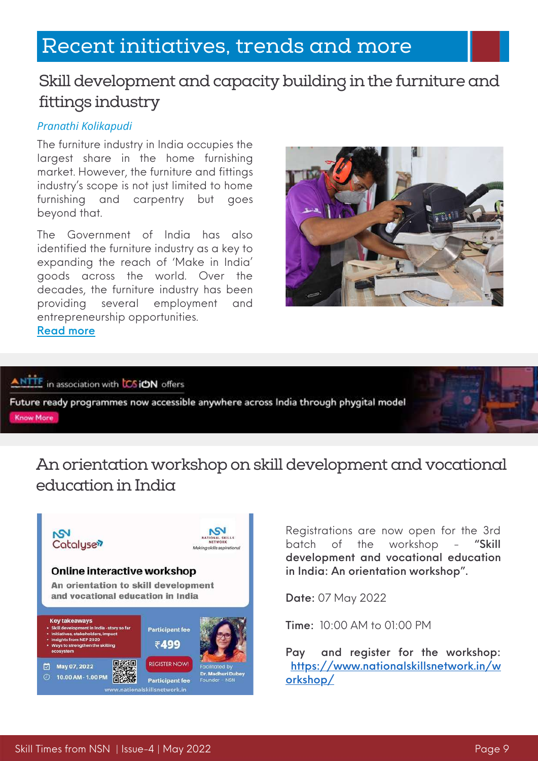# Recent initiatives, trends and more

### Skill development and capacity building in the furniture and fittings industry

### *Pranathi Kolikapudi*

The furniture industry in India occupies the largest share in the home furnishing market. However, the furniture and fittings industry's scope is not just limited to home furnishing and carpentry but goes beyond that.

The Government of India has also identified the furniture industry as a key to expanding the reach of 'Make in India' goods across the world. Over the decades, the furniture industry has been providing several employment and entrepreneurship opportunities. [Read](https://www.nationalskillsnetwork.in/skill-development-and-capacity-building-in-the-furniture-and-fittings-industry/) more



ANTTE in association with CSION offers

Future ready programmes now accessible anywhere across India through phygital model Know More

### An orientation workshop on skill development and vocational education in India



Registrations are now open for the 3rd batch of the workshop - "Skill development and vocational education in India: An orientation workshop".

Date: 07 May 2022

Time: 10:00 AM to 01:00 PM

Pay and register for the workshop: [https://www.nationalskillsnetwork.in/w](https://www.nationalskillsnetwork.in/workshop/) orkshop/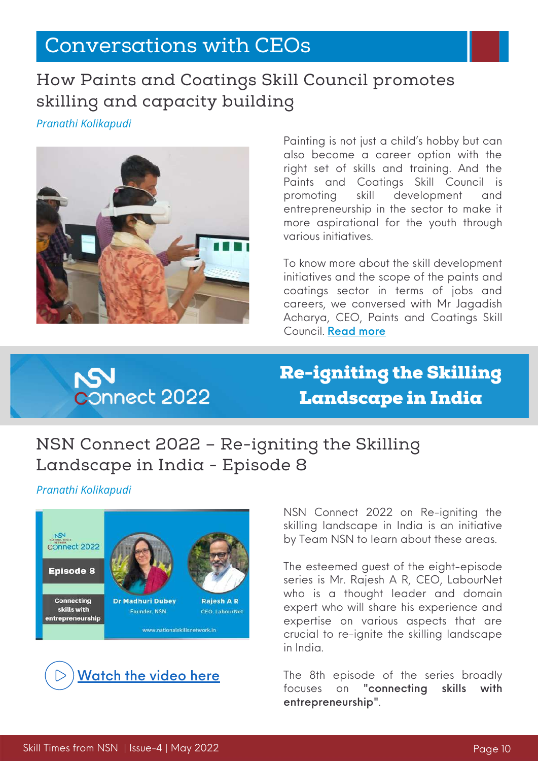# Conversations with CEOs

### How Paints and Coatings Skill Council promotes skilling and capacity building

*Pranathi Kolikapudi*



Painting is not just a child's hobby but can also become a career option with the right set of skills and training. And the Paints and [Coatings](https://www.pcsc.in/) Skill Council is promoting skill development and entrepreneurship in the sector to make it more aspirational for the youth through various initiatives.

To know more about the skill development initiatives and the scope of the paints and coatings sector in terms of jobs and careers, we conversed with Mr Jagadish Acharya, CEO, Paints and Coatings Skill Council. [Read](https://www.nationalskillsnetwork.in/how-paints-and-coatings-skill-council-promotes-skilling-and-capacity-building/) more



Re-igniting the Skilling Landscape in India

# NSN Connect 2022 – Re-igniting the Skilling Landscape in India - Episode 8

*Pranathi Kolikapudi*





NSN Connect 2022 on Re-igniting the skilling landscape in India is an initiative by Team NSN to learn about these areas.

The esteemed guest of the eight-episode series is Mr. Rajesh A R, CEO, LabourNet who is a thought leader and domain expert who will share his experience and expertise on various aspects that are crucial to re-ignite the skilling landscape in India.

The 8th episode of the series broadly focuses on "connecting skills with entrepreneurship".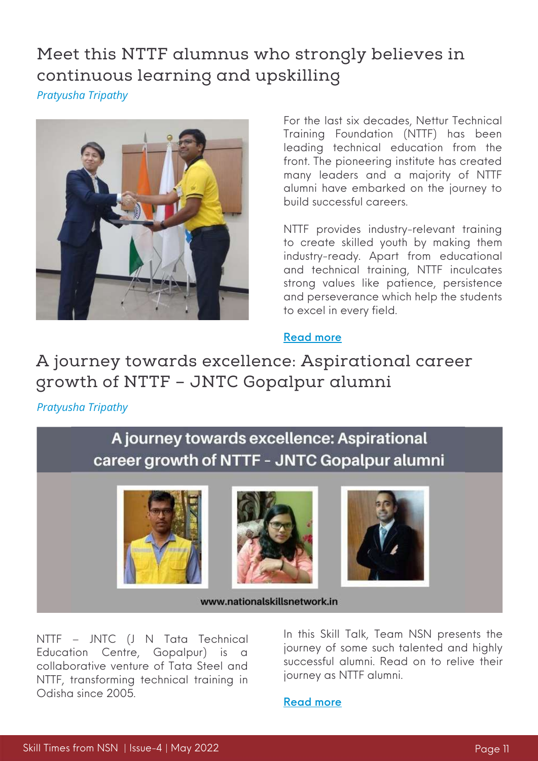# Meet this NTTF alumnus who strongly believes in continuous learning and upskilling

*Pratyusha Tripathy*



For the last six decades, Nettur Technical Training Foundation [\(NTTF](https://www.nttftrg.com/)) has been leading technical education from the front. The pioneering institute has created many leaders and a majority of NTTF alumni have embarked on the journey to build successful careers.

NTTF provides industry-relevant training to create skilled youth by making them industry-ready. Apart from educational and technical training, NTTF inculcates strong values like patience, persistence and perseverance which help the students to excel in every field.

### [Read](https://www.nationalskillsnetwork.in/meet-this-nttf-alumnus-who-strongly-believes-in-continuous-learning/) more

### A journey towards excellence: Aspirational career growth of NTTF – JNTC Gopalpur alumni

*Pratyusha Tripathy*

### A journey towards excellence: Aspirational career growth of NTTF - JNTC Gopalpur alumni







www.nationalskillsnetwork.in

NTTF – JNTC (J N Tata Technical Education Centre, Gopalpur) is a collaborative venture of Tata Steel and NTTF, transforming technical training in Odisha since 2005.

In this Skill Talk, Team NSN presents the journey of some such talented and highly successful alumni. Read on to relive their journey as NTTF alumni.

#### [Read](https://www.nationalskillsnetwork.in/aspirational-career-growth-of-nttf-jntc-gopalpur-alumni/) more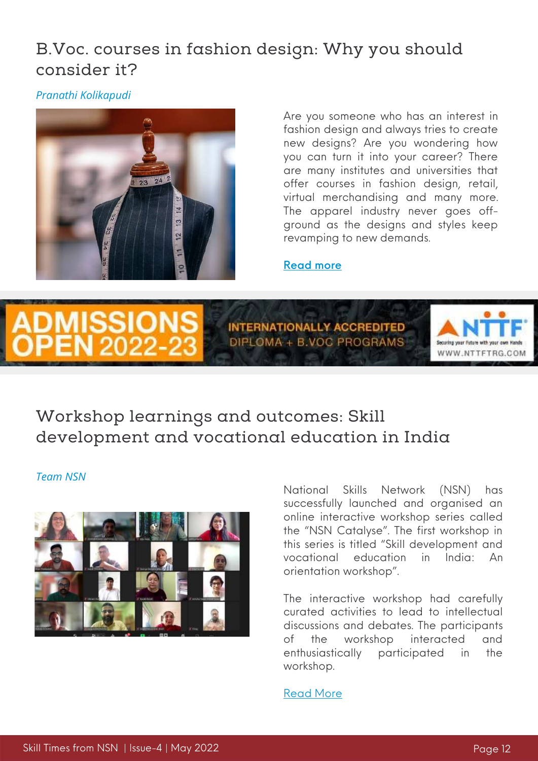### B.Voc. courses in fashion design: Why you should consider it?

*Pranathi Kolikapudi*



Are you someone who has an interest in fashion design and always tries to create new designs? Are you wondering how you can turn it into your career? There are many institutes and universities that offer courses in fashion design, retail, virtual merchandising and many more. The apparel industry never goes offground as the designs and styles keep revamping to new demands.

#### [Read](https://www.nationalskillsnetwork.in/b-voc-courses-in-fashion-design-why-you-should-consider-it/) more



### Workshop learnings and outcomes: Skill development and vocational education in India

#### *Team NSN*



National Skills Network (NSN) has successfully launched and organised an online interactive workshop series called the "NSN Catalyse". The first workshop in this series is titled "Skill development and vocational education in India: An orientation workshop".

The interactive workshop had carefully curated activities to lead to intellectual discussions and debates. The participants of the workshop interacted and enthusiastically participated in the workshop.

#### [Read](https://www.nationalskillsnetwork.in/workshop-learnings-and-outcomes-skill-development-and-vocational-education-in-india/) More